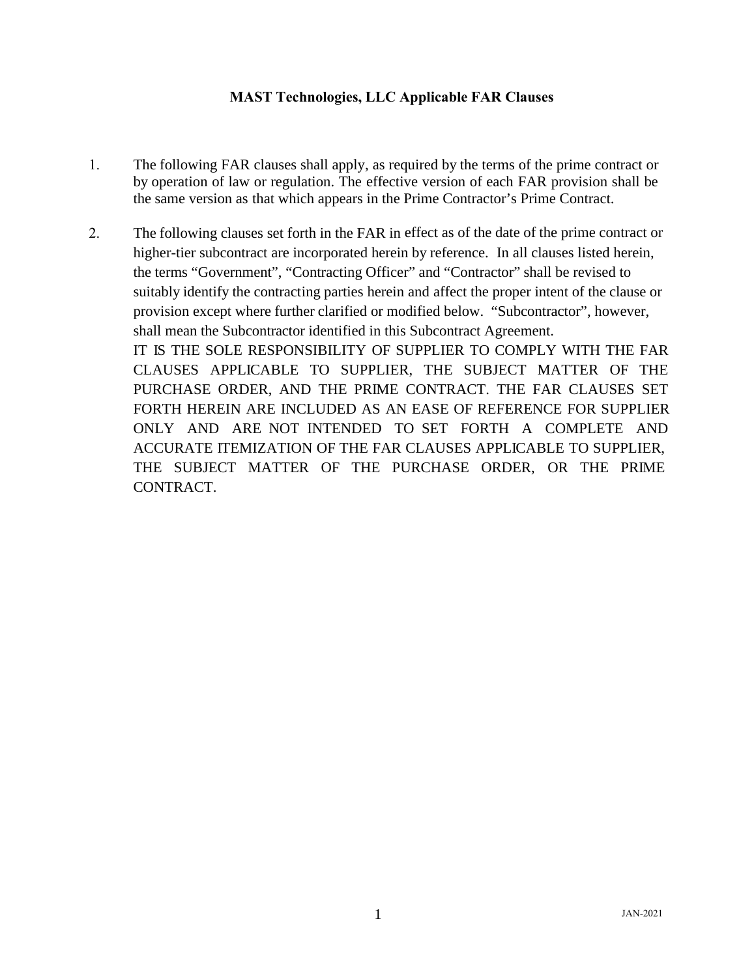## **MAST Technologies, LLC Applicable FAR Clauses**

- 1. The following FAR clauses shall apply, as required by the terms of the prime contract or by operation of law or regulation. The effective version of each FAR provision shall be the same version as that which appears in the Prime Contractor's Prime Contract.
- 2. The following clauses set forth in the FAR in effect as of the date of the prime contract or higher-tier subcontract are incorporated herein by reference. In all clauses listed herein, the terms "Government", "Contracting Officer" and "Contractor" shall be revised to suitably identify the contracting parties herein and affect the proper intent of the clause or provision except where further clarified or modified below. "Subcontractor", however, shall mean the Subcontractor identified in this Subcontract Agreement. IT IS THE SOLE RESPONSIBILITY OF SUPPLIER TO COMPLY WITH THE FAR CLAUSES APPLICABLE TO SUPPLIER, THE SUBJECT MATTER OF THE PURCHASE ORDER, AND THE PRIME CONTRACT. THE FAR CLAUSES SET FORTH HEREIN ARE INCLUDED AS AN EASE OF REFERENCE FOR SUPPLIER ONLY AND ARE NOT INTENDED TO SET FORTH A COMPLETE AND ACCURATE ITEMIZATION OF THE FAR CLAUSES APPLICABLE TO SUPPLIER, THE SUBJECT MATTER OF THE PURCHASE ORDER, OR THE PRIME CONTRACT.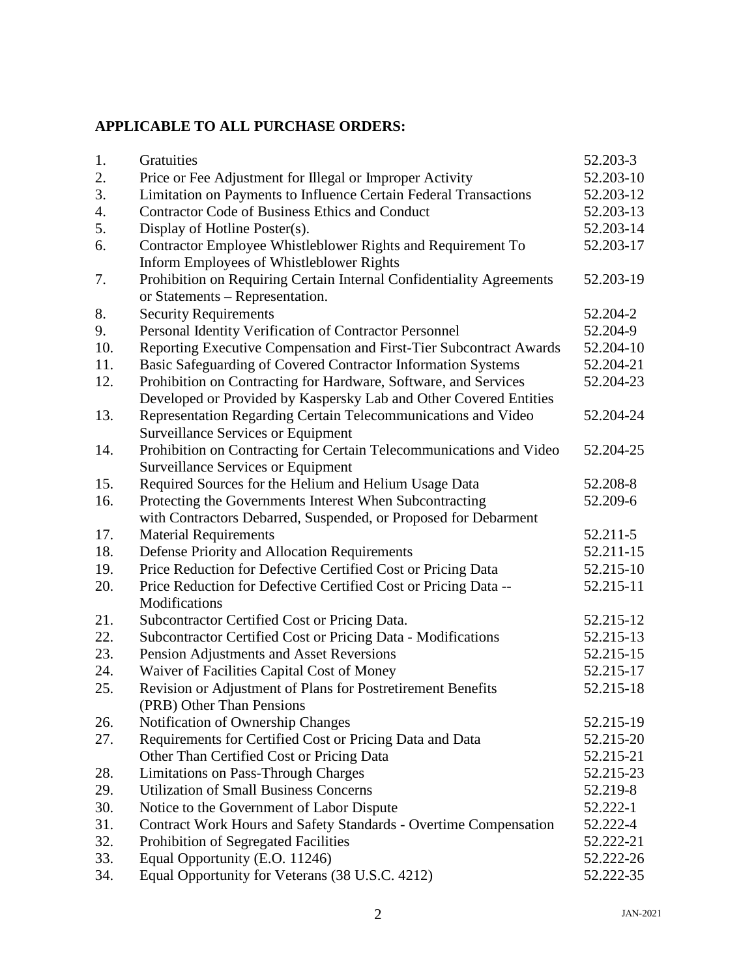## **APPLICABLE TO ALL PURCHASE ORDERS:**

| 1.  | Gratuities                                                                                              | 52.203-3  |
|-----|---------------------------------------------------------------------------------------------------------|-----------|
| 2.  | Price or Fee Adjustment for Illegal or Improper Activity                                                | 52.203-10 |
| 3.  | Limitation on Payments to Influence Certain Federal Transactions                                        | 52.203-12 |
| 4.  | <b>Contractor Code of Business Ethics and Conduct</b>                                                   | 52.203-13 |
| 5.  | Display of Hotline Poster(s).                                                                           | 52.203-14 |
| 6.  | Contractor Employee Whistleblower Rights and Requirement To                                             | 52.203-17 |
|     | Inform Employees of Whistleblower Rights                                                                |           |
| 7.  | Prohibition on Requiring Certain Internal Confidentiality Agreements<br>or Statements – Representation. | 52.203-19 |
| 8.  | <b>Security Requirements</b>                                                                            | 52.204-2  |
| 9.  | Personal Identity Verification of Contractor Personnel                                                  | 52.204-9  |
| 10. | Reporting Executive Compensation and First-Tier Subcontract Awards                                      | 52.204-10 |
| 11. | Basic Safeguarding of Covered Contractor Information Systems                                            | 52.204-21 |
| 12. | Prohibition on Contracting for Hardware, Software, and Services                                         | 52.204-23 |
|     | Developed or Provided by Kaspersky Lab and Other Covered Entities                                       |           |
| 13. | Representation Regarding Certain Telecommunications and Video                                           | 52.204-24 |
|     | <b>Surveillance Services or Equipment</b>                                                               |           |
| 14. | Prohibition on Contracting for Certain Telecommunications and Video                                     | 52.204-25 |
|     | <b>Surveillance Services or Equipment</b>                                                               |           |
| 15. | Required Sources for the Helium and Helium Usage Data                                                   | 52.208-8  |
| 16. | Protecting the Governments Interest When Subcontracting                                                 | 52.209-6  |
|     | with Contractors Debarred, Suspended, or Proposed for Debarment                                         |           |
| 17. | <b>Material Requirements</b>                                                                            | 52.211-5  |
| 18. | Defense Priority and Allocation Requirements                                                            | 52.211-15 |
| 19. | Price Reduction for Defective Certified Cost or Pricing Data                                            | 52.215-10 |
| 20. | Price Reduction for Defective Certified Cost or Pricing Data --<br>Modifications                        | 52.215-11 |
| 21. | Subcontractor Certified Cost or Pricing Data.                                                           | 52.215-12 |
| 22. | Subcontractor Certified Cost or Pricing Data - Modifications                                            | 52.215-13 |
| 23. | Pension Adjustments and Asset Reversions                                                                | 52.215-15 |
| 24. | Waiver of Facilities Capital Cost of Money                                                              | 52.215-17 |
| 25. | Revision or Adjustment of Plans for Postretirement Benefits<br>(PRB) Other Than Pensions                | 52.215-18 |
| 26. | Notification of Ownership Changes                                                                       | 52.215-19 |
| 27. | Requirements for Certified Cost or Pricing Data and Data                                                | 52.215-20 |
|     | Other Than Certified Cost or Pricing Data                                                               | 52.215-21 |
| 28. | <b>Limitations on Pass-Through Charges</b>                                                              | 52.215-23 |
| 29. | <b>Utilization of Small Business Concerns</b>                                                           | 52.219-8  |
| 30. | Notice to the Government of Labor Dispute                                                               | 52.222-1  |
| 31. | Contract Work Hours and Safety Standards - Overtime Compensation                                        | 52.222-4  |
| 32. | Prohibition of Segregated Facilities                                                                    | 52.222-21 |
| 33. | Equal Opportunity (E.O. 11246)                                                                          | 52.222-26 |
| 34. | Equal Opportunity for Veterans (38 U.S.C. 4212)                                                         | 52.222-35 |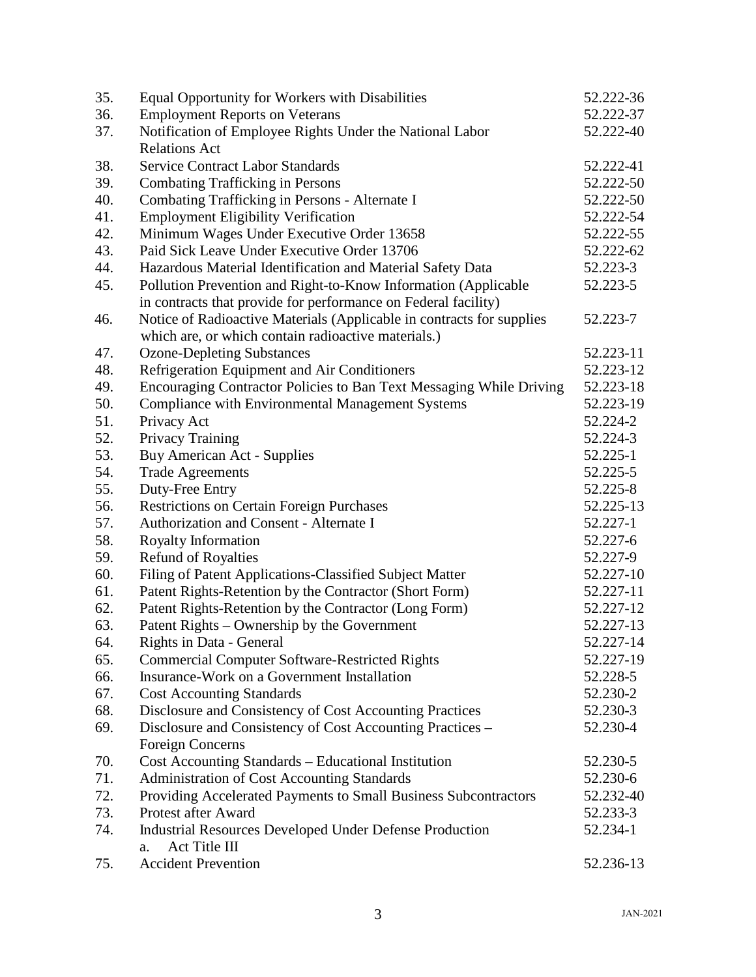| 35. | Equal Opportunity for Workers with Disabilities                       | 52.222-36 |
|-----|-----------------------------------------------------------------------|-----------|
| 36. | <b>Employment Reports on Veterans</b>                                 | 52.222-37 |
| 37. | Notification of Employee Rights Under the National Labor              | 52.222-40 |
|     | <b>Relations Act</b>                                                  |           |
| 38. | <b>Service Contract Labor Standards</b>                               | 52.222-41 |
| 39. | <b>Combating Trafficking in Persons</b>                               | 52.222-50 |
| 40. | Combating Trafficking in Persons - Alternate I                        | 52.222-50 |
| 41. | <b>Employment Eligibility Verification</b>                            | 52.222-54 |
| 42. | Minimum Wages Under Executive Order 13658                             | 52.222-55 |
| 43. | Paid Sick Leave Under Executive Order 13706                           | 52.222-62 |
| 44. | Hazardous Material Identification and Material Safety Data            | 52.223-3  |
| 45. | Pollution Prevention and Right-to-Know Information (Applicable        | 52.223-5  |
|     | in contracts that provide for performance on Federal facility)        |           |
| 46. | Notice of Radioactive Materials (Applicable in contracts for supplies | 52.223-7  |
|     | which are, or which contain radioactive materials.)                   |           |
| 47. | <b>Ozone-Depleting Substances</b>                                     | 52.223-11 |
| 48. | Refrigeration Equipment and Air Conditioners                          | 52.223-12 |
| 49. | Encouraging Contractor Policies to Ban Text Messaging While Driving   | 52.223-18 |
| 50. | Compliance with Environmental Management Systems                      | 52.223-19 |
| 51. | Privacy Act                                                           | 52.224-2  |
| 52. | Privacy Training                                                      | 52.224-3  |
| 53. | <b>Buy American Act - Supplies</b>                                    | 52.225-1  |
| 54. | <b>Trade Agreements</b>                                               | 52.225-5  |
| 55. | Duty-Free Entry                                                       | 52.225-8  |
| 56. | <b>Restrictions on Certain Foreign Purchases</b>                      | 52.225-13 |
| 57. | Authorization and Consent - Alternate I                               | 52.227-1  |
| 58. | Royalty Information                                                   | 52.227-6  |
| 59. | <b>Refund of Royalties</b>                                            | 52.227-9  |
| 60. | Filing of Patent Applications-Classified Subject Matter               | 52.227-10 |
| 61. | Patent Rights-Retention by the Contractor (Short Form)                | 52.227-11 |
| 62. | Patent Rights-Retention by the Contractor (Long Form)                 | 52.227-12 |
| 63. | Patent Rights - Ownership by the Government                           | 52.227-13 |
| 64. | Rights in Data - General                                              | 52.227-14 |
| 65. | <b>Commercial Computer Software-Restricted Rights</b>                 | 52.227-19 |
| 66. | Insurance-Work on a Government Installation                           | 52.228-5  |
| 67. | <b>Cost Accounting Standards</b>                                      | 52.230-2  |
| 68. | Disclosure and Consistency of Cost Accounting Practices               | 52.230-3  |
| 69. | Disclosure and Consistency of Cost Accounting Practices –             | 52.230-4  |
|     | <b>Foreign Concerns</b>                                               |           |
| 70. | Cost Accounting Standards - Educational Institution                   | 52.230-5  |
| 71. | Administration of Cost Accounting Standards                           | 52.230-6  |
| 72. | Providing Accelerated Payments to Small Business Subcontractors       | 52.232-40 |
| 73. | Protest after Award                                                   | 52.233-3  |
| 74. | <b>Industrial Resources Developed Under Defense Production</b>        | 52.234-1  |
|     | Act Title III<br>a.                                                   |           |
| 75. | <b>Accident Prevention</b>                                            | 52.236-13 |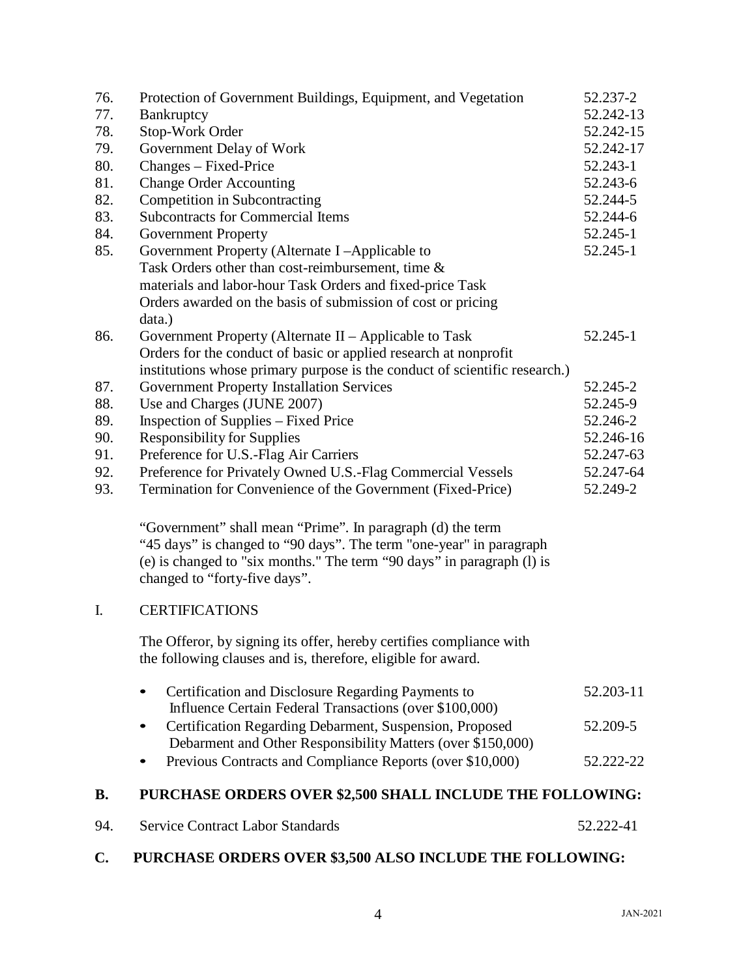| 76.            | Protection of Government Buildings, Equipment, and Vegetation                                                                                                                                                                                | 52.237-2  |
|----------------|----------------------------------------------------------------------------------------------------------------------------------------------------------------------------------------------------------------------------------------------|-----------|
| 77.            | Bankruptcy                                                                                                                                                                                                                                   | 52.242-13 |
| 78.            | Stop-Work Order                                                                                                                                                                                                                              | 52.242-15 |
| 79.            | Government Delay of Work                                                                                                                                                                                                                     | 52.242-17 |
| 80.            | Changes - Fixed-Price                                                                                                                                                                                                                        | 52.243-1  |
| 81.            | <b>Change Order Accounting</b>                                                                                                                                                                                                               | 52.243-6  |
| 82.            | Competition in Subcontracting                                                                                                                                                                                                                | 52.244-5  |
| 83.            | <b>Subcontracts for Commercial Items</b>                                                                                                                                                                                                     | 52.244-6  |
| 84.            | <b>Government Property</b>                                                                                                                                                                                                                   | 52.245-1  |
| 85.            | Government Property (Alternate I-Applicable to                                                                                                                                                                                               | 52.245-1  |
|                | Task Orders other than cost-reimbursement, time &                                                                                                                                                                                            |           |
|                | materials and labor-hour Task Orders and fixed-price Task                                                                                                                                                                                    |           |
|                | Orders awarded on the basis of submission of cost or pricing                                                                                                                                                                                 |           |
|                | data.)                                                                                                                                                                                                                                       |           |
| 86.            | Government Property (Alternate II – Applicable to Task                                                                                                                                                                                       | 52.245-1  |
|                | Orders for the conduct of basic or applied research at nonprofit                                                                                                                                                                             |           |
|                | institutions whose primary purpose is the conduct of scientific research.)                                                                                                                                                                   |           |
| 87.            | <b>Government Property Installation Services</b>                                                                                                                                                                                             | 52.245-2  |
| 88.            | Use and Charges (JUNE 2007)                                                                                                                                                                                                                  | 52.245-9  |
| 89.            | Inspection of Supplies – Fixed Price                                                                                                                                                                                                         | 52.246-2  |
| 90.            | <b>Responsibility for Supplies</b>                                                                                                                                                                                                           | 52.246-16 |
| 91.            | Preference for U.S.-Flag Air Carriers                                                                                                                                                                                                        | 52.247-63 |
| 92.            | Preference for Privately Owned U.S.-Flag Commercial Vessels                                                                                                                                                                                  | 52.247-64 |
| 93.            | Termination for Convenience of the Government (Fixed-Price)                                                                                                                                                                                  | 52.249-2  |
|                | "Government" shall mean "Prime". In paragraph (d) the term<br>"45 days" is changed to "90 days". The term "one-year" in paragraph<br>(e) is changed to "six months." The term "90 days" in paragraph (1) is<br>changed to "forty-five days". |           |
| I.             | <b>CERTIFICATIONS</b>                                                                                                                                                                                                                        |           |
|                | The Offeror, by signing its offer, hereby certifies compliance with<br>the following clauses and is, therefore, eligible for award.                                                                                                          |           |
|                | Certification and Disclosure Regarding Payments to<br>Influence Certain Federal Transactions (over \$100,000)                                                                                                                                | 52.203-11 |
|                | Certification Regarding Debarment, Suspension, Proposed<br>Debarment and Other Responsibility Matters (over \$150,000)                                                                                                                       | 52.209-5  |
|                | Previous Contracts and Compliance Reports (over \$10,000)                                                                                                                                                                                    | 52.222-22 |
| <b>B.</b>      | PURCHASE ORDERS OVER \$2,500 SHALL INCLUDE THE FOLLOWING:                                                                                                                                                                                    |           |
| 94.            | <b>Service Contract Labor Standards</b>                                                                                                                                                                                                      | 52.222-41 |
| $\mathbf{C}$ . | PURCHASE ORDERS OVER \$3,500 ALSO INCLUDE THE FOLLOWING:                                                                                                                                                                                     |           |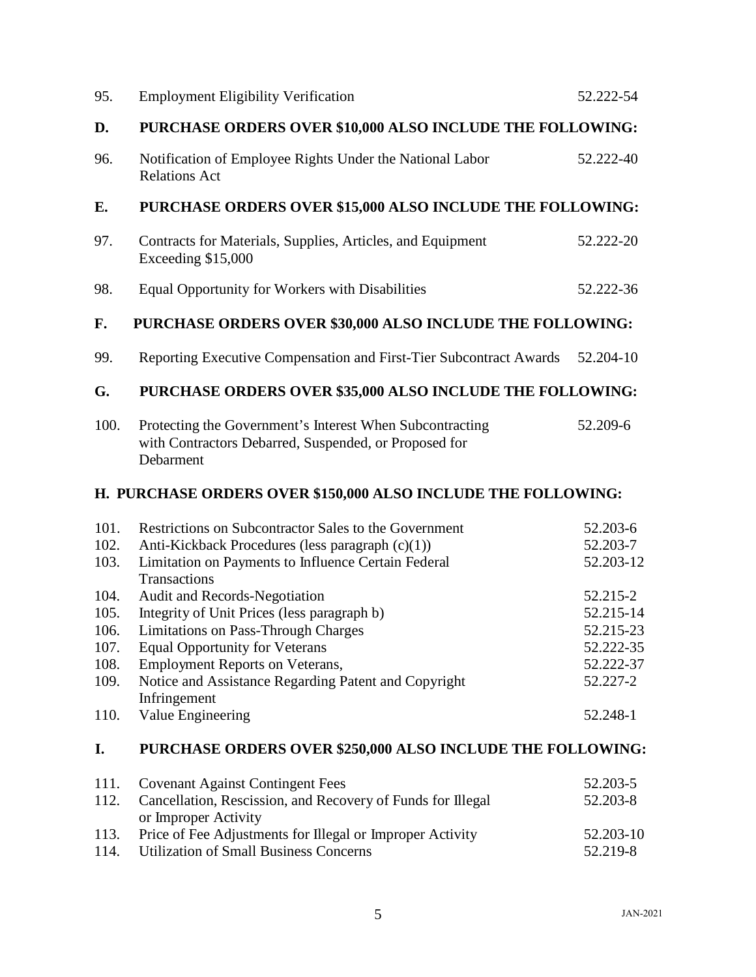| 95.                                                           | <b>Employment Eligibility Verification</b>                                                                                                                                                                                                                                                                                 | 52.222-54                                                                            |
|---------------------------------------------------------------|----------------------------------------------------------------------------------------------------------------------------------------------------------------------------------------------------------------------------------------------------------------------------------------------------------------------------|--------------------------------------------------------------------------------------|
| D.                                                            | PURCHASE ORDERS OVER \$10,000 ALSO INCLUDE THE FOLLOWING:                                                                                                                                                                                                                                                                  |                                                                                      |
| 96.                                                           | Notification of Employee Rights Under the National Labor<br><b>Relations Act</b>                                                                                                                                                                                                                                           | 52.222-40                                                                            |
| E.                                                            | PURCHASE ORDERS OVER \$15,000 ALSO INCLUDE THE FOLLOWING:                                                                                                                                                                                                                                                                  |                                                                                      |
| 97.                                                           | Contracts for Materials, Supplies, Articles, and Equipment<br>Exceeding \$15,000                                                                                                                                                                                                                                           | 52.222-20                                                                            |
| 98.                                                           | Equal Opportunity for Workers with Disabilities                                                                                                                                                                                                                                                                            | 52.222-36                                                                            |
| F.                                                            | PURCHASE ORDERS OVER \$30,000 ALSO INCLUDE THE FOLLOWING:                                                                                                                                                                                                                                                                  |                                                                                      |
| 99.                                                           | Reporting Executive Compensation and First-Tier Subcontract Awards                                                                                                                                                                                                                                                         | 52.204-10                                                                            |
| G.                                                            | PURCHASE ORDERS OVER \$35,000 ALSO INCLUDE THE FOLLOWING:                                                                                                                                                                                                                                                                  |                                                                                      |
| 100.                                                          | Protecting the Government's Interest When Subcontracting<br>with Contractors Debarred, Suspended, or Proposed for<br>Debarment                                                                                                                                                                                             | 52.209-6                                                                             |
| H. PURCHASE ORDERS OVER \$150,000 ALSO INCLUDE THE FOLLOWING: |                                                                                                                                                                                                                                                                                                                            |                                                                                      |
|                                                               |                                                                                                                                                                                                                                                                                                                            |                                                                                      |
| 101.<br>102.<br>103.                                          | Restrictions on Subcontractor Sales to the Government<br>Anti-Kickback Procedures (less paragraph (c)(1))<br>Limitation on Payments to Influence Certain Federal                                                                                                                                                           | 52.203-6<br>52.203-7<br>52.203-12                                                    |
| 104.<br>105.<br>106.<br>107.<br>108.<br>109.<br>110.          | Transactions<br>Audit and Records-Negotiation<br>Integrity of Unit Prices (less paragraph b)<br><b>Limitations on Pass-Through Charges</b><br><b>Equal Opportunity for Veterans</b><br><b>Employment Reports on Veterans,</b><br>Notice and Assistance Regarding Patent and Copyright<br>Infringement<br>Value Engineering | 52.215-2<br>52.215-14<br>52.215-23<br>52.222-35<br>52.222-37<br>52.227-2<br>52.248-1 |
| I.                                                            | PURCHASE ORDERS OVER \$250,000 ALSO INCLUDE THE FOLLOWING:                                                                                                                                                                                                                                                                 |                                                                                      |
| 111.<br>112.<br>113.<br>114.                                  | <b>Covenant Against Contingent Fees</b><br>Cancellation, Rescission, and Recovery of Funds for Illegal<br>or Improper Activity<br>Price of Fee Adjustments for Illegal or Improper Activity<br><b>Utilization of Small Business Concerns</b>                                                                               | 52.203-5<br>52.203-8<br>52.203-10<br>52.219-8                                        |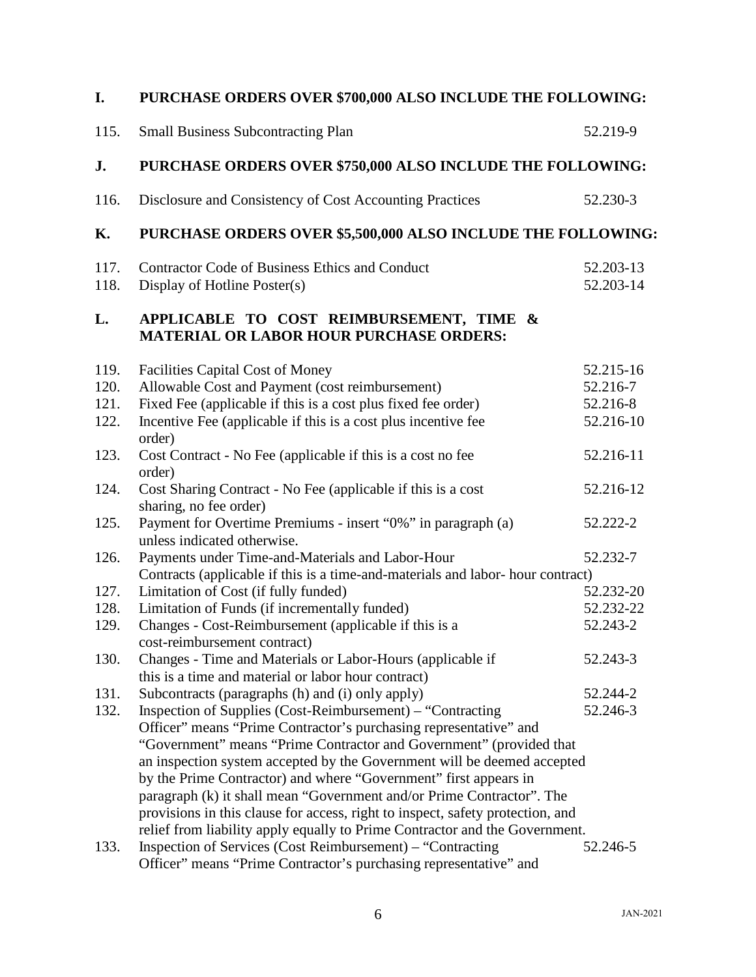| I.                           | PURCHASE ORDERS OVER \$700,000 ALSO INCLUDE THE FOLLOWING:                                                                                                                                                                                                                                                                                                                                                                                                   |                                                |
|------------------------------|--------------------------------------------------------------------------------------------------------------------------------------------------------------------------------------------------------------------------------------------------------------------------------------------------------------------------------------------------------------------------------------------------------------------------------------------------------------|------------------------------------------------|
| 115.                         | <b>Small Business Subcontracting Plan</b>                                                                                                                                                                                                                                                                                                                                                                                                                    | 52.219-9                                       |
| J.                           | PURCHASE ORDERS OVER \$750,000 ALSO INCLUDE THE FOLLOWING:                                                                                                                                                                                                                                                                                                                                                                                                   |                                                |
| 116.                         | Disclosure and Consistency of Cost Accounting Practices                                                                                                                                                                                                                                                                                                                                                                                                      | 52.230-3                                       |
| Κ.                           | PURCHASE ORDERS OVER \$5,500,000 ALSO INCLUDE THE FOLLOWING:                                                                                                                                                                                                                                                                                                                                                                                                 |                                                |
| 117.<br>118.                 | <b>Contractor Code of Business Ethics and Conduct</b><br>Display of Hotline Poster(s)                                                                                                                                                                                                                                                                                                                                                                        | 52.203-13<br>52.203-14                         |
| L.                           | APPLICABLE TO COST REIMBURSEMENT, TIME &<br><b>MATERIAL OR LABOR HOUR PURCHASE ORDERS:</b>                                                                                                                                                                                                                                                                                                                                                                   |                                                |
| 119.<br>120.<br>121.<br>122. | <b>Facilities Capital Cost of Money</b><br>Allowable Cost and Payment (cost reimbursement)<br>Fixed Fee (applicable if this is a cost plus fixed fee order)<br>Incentive Fee (applicable if this is a cost plus incentive fee                                                                                                                                                                                                                                | 52.215-16<br>52.216-7<br>52.216-8<br>52.216-10 |
| 123.                         | order)<br>Cost Contract - No Fee (applicable if this is a cost no fee<br>order)                                                                                                                                                                                                                                                                                                                                                                              | 52.216-11                                      |
| 124.                         | Cost Sharing Contract - No Fee (applicable if this is a cost<br>sharing, no fee order)                                                                                                                                                                                                                                                                                                                                                                       | 52.216-12                                      |
| 125.                         | Payment for Overtime Premiums - insert "0%" in paragraph (a)<br>unless indicated otherwise.                                                                                                                                                                                                                                                                                                                                                                  | 52.222-2                                       |
| 126.                         | Payments under Time-and-Materials and Labor-Hour<br>Contracts (applicable if this is a time-and-materials and labor- hour contract)                                                                                                                                                                                                                                                                                                                          | 52.232-7                                       |
| 127.                         | Limitation of Cost (if fully funded)                                                                                                                                                                                                                                                                                                                                                                                                                         | 52.232-20                                      |
| 128.                         | Limitation of Funds (if incrementally funded)                                                                                                                                                                                                                                                                                                                                                                                                                | 52.232-22                                      |
| 129.                         | Changes - Cost-Reimbursement (applicable if this is a<br>cost-reimbursement contract)                                                                                                                                                                                                                                                                                                                                                                        | 52.243-2                                       |
| 130.                         | Changes - Time and Materials or Labor-Hours (applicable if<br>this is a time and material or labor hour contract)                                                                                                                                                                                                                                                                                                                                            | 52.243-3                                       |
| 131.                         | Subcontracts (paragraphs (h) and (i) only apply)                                                                                                                                                                                                                                                                                                                                                                                                             | 52.244-2                                       |
| 132.                         | Inspection of Supplies (Cost-Reimbursement) – "Contracting<br>Officer" means "Prime Contractor's purchasing representative" and                                                                                                                                                                                                                                                                                                                              | 52.246-3                                       |
|                              | "Government" means "Prime Contractor and Government" (provided that<br>an inspection system accepted by the Government will be deemed accepted<br>by the Prime Contractor) and where "Government" first appears in<br>paragraph (k) it shall mean "Government and/or Prime Contractor". The<br>provisions in this clause for access, right to inspect, safety protection, and<br>relief from liability apply equally to Prime Contractor and the Government. |                                                |
| 133.                         | Inspection of Services (Cost Reimbursement) – "Contracting<br>Officer" means "Prime Contractor's purchasing representative" and                                                                                                                                                                                                                                                                                                                              | 52.246-5                                       |